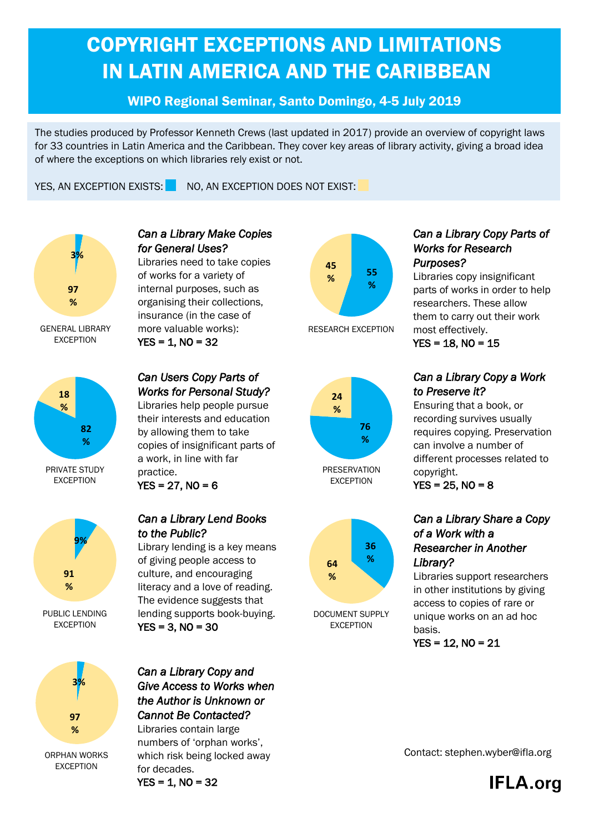# COPYRIGHT EXCEPTIONS AND LIMITATIONS IN LATIN AMERICA AND THE CARIBBEAN

## WIPO Regional Seminar, Santo Domingo, 4-5 July 2019

The studies produced by Professor Kenneth Crews (last updated in 2017) provide an overview of copyright laws for 33 countries in Latin America and the Caribbean. They cover key areas of library activity, giving a broad idea of where the exceptions on which libraries rely exist or not.

YES, AN EXCEPTION EXISTS: NO, AN EXCEPTION DOES NOT EXIST:





PRIVATE STUDY EXCEPTION



PUBLIC LENDING EXCEPTION



#### *Can a Library Make Copies for General Uses?*  Libraries need to take copies

of works for a variety of internal purposes, such as organising their collections, insurance (in the case of more valuable works):  $YES = 1$ ,  $NO = 32$ 

## *Can Users Copy Parts of Works for Personal Study?*

Libraries help people pursue their interests and education by allowing them to take copies of insignificant parts of a work, in line with far practice.

 $YES = 27$ ,  $NO = 6$ 

#### *Can a Library Lend Books to the Public?*

Library lending is a key means of giving people access to culture, and encouraging literacy and a love of reading. The evidence suggests that lending supports book-buying.  $YES = 3$ ,  $NO = 30$ 

*Can a Library Copy and Give Access to Works when the Author is Unknown or Cannot Be Contacted?*  Libraries contain large numbers of 'orphan works', which risk being locked away for decades.  $YES = 1$ ,  $NO = 32$ 











DOCUMENT SUPPLY EXCEPTION

### *Can a Library Copy Parts of Works for Research Purposes?*

Libraries copy insignificant parts of works in order to help researchers. These allow them to carry out their work most effectively.  $YES = 18$ ,  $NO = 15$ 

*Can a Library Copy a Work to Preserve it?* 

Ensuring that a book, or recording survives usually requires copying. Preservation can involve a number of different processes related to copyright.

 $YES = 25$ ,  $NO = 8$ 

### *Can a Library Share a Copy of a Work with a Researcher in Another Library?*

Libraries support researchers in other institutions by giving access to copies of rare or unique works on an ad hoc basis.



Contact: stephen.wyber@ifla.org

**IFLA.org**